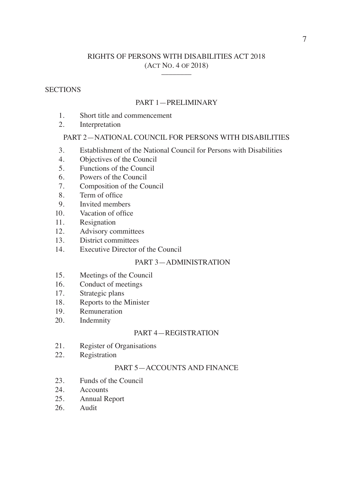# RIGHTS OF PERSONS WITH DISABILITIES ACT 2018 (ACT NO. 4 OF 2018) \_\_\_\_\_\_\_\_

# **SECTIONS**

# PART 1—PRELIMINARY

- 1. Short title and commencement
- 2. Interpretation

# PART 2—NATIONAL COUNCIL FOR PERSONS WITH DISABILITIES

- 3. Establishment of the National Council for Persons with Disabilities
- 4. Objectives of the Council
- 5. Functions of the Council
- 6. Powers of the Council
- 7. Composition of the Council
- 8. Term of office
- 9. Invited members
- 10. Vacation of office
- 11. Resignation
- 12. Advisory committees
- 13. District committees
- 14. Executive Director of the Council

# PART 3—ADMINISTRATION

- 15. Meetings of the Council
- 16. Conduct of meetings
- 17. Strategic plans
- 18. Reports to the Minister
- 19. Remuneration
- 20. Indemnity

# PART 4—REGISTRATION

- 21. Register of Organisations<br>22. Registration
- Registration

# PART 5—ACCOUNTS AND FINANCE

- 23. Funds of the Council
- 24. Accounts
- 25. Annual Report
- 26. Audit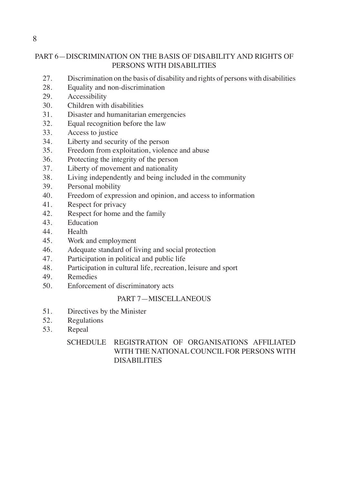# PART 6—DISCRIMINATION ON THE BASIS OF DISABILITY AND RIGHTS OF PERSONS WITH DISABILITIES

- 27. Discrimination on the basis of disability and rights of persons with disabilities
- 28. Equality and non-discrimination
- 29. Accessibility
- 30. Children with disabilities
- 31. Disaster and humanitarian emergencies
- 32. Equal recognition before the law
- 33. Access to justice
- 34. Liberty and security of the person
- 35. Freedom from exploitation, violence and abuse
- 36. Protecting the integrity of the person
- 37. Liberty of movement and nationality
- 38. Living independently and being included in the community
- 39. Personal mobility
- 40. Freedom of expression and opinion, and access to information
- 41. Respect for privacy
- 42. Respect for home and the family
- 43. Education
- 44. Health
- 45. Work and employment
- 46. Adequate standard of living and social protection
- 47. Participation in political and public life
- 48. Participation in cultural life, recreation, leisure and sport
- 49. Remedies
- 50. Enforcement of discriminatory acts

# PART 7—MISCELLANEOUS

- 51. Directives by the Minister
- 52. Regulations
- 53. Repeal

# SCHEDULE REGISTRATION OF ORGANISATIONS AFFILIATED WITH THE NATIONAL COUNCIL FOR PERSONS WITH DISABILITIES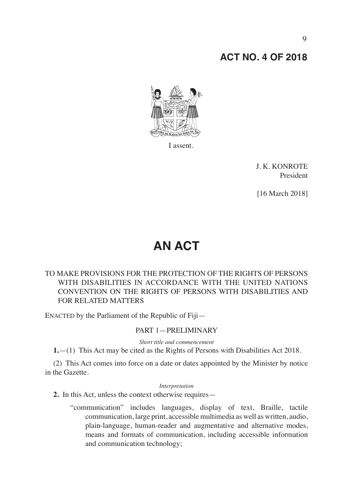# **ACT NO. 4 OF 2018**



I assent.

J. K. KONROTE President

[16 March 2018]

# **AN ACT**

# TO MAKE PROVISIONS FOR THE PROTECTION OF THE RIGHTS OF PERSONS WITH DISABILITIES IN ACCORDANCE WITH THE UNITED NATIONS CONVENTION ON THE RIGHTS OF PERSONS WITH DISABILITIES AND FOR RELATED MATTERS

ENACTED by the Parliament of the Republic of Fiji—

# PART 1—PRELIMINARY

*Short title and commencement*

**1.**—(1) This Act may be cited as the Rights of Persons with Disabilities Act 2018.

(2) This Act comes into force on a date or dates appointed by the Minister by notice in the Gazette.

#### *Interpretation*

**2.** In this Act, unless the context otherwise requires—

"communication" includes languages, display of text, Braille, tactile communication, large print, accessible multimedia as well as written, audio, plain-language, human-reader and augmentative and alternative modes, means and formats of communication, including accessible information and communication technology;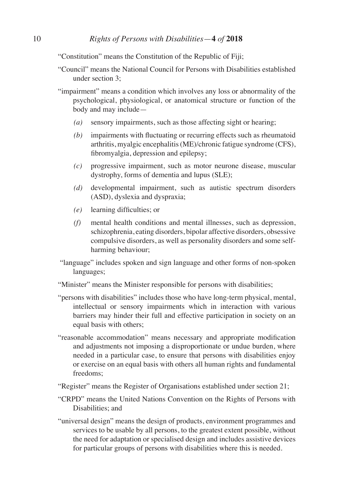"Constitution" means the Constitution of the Republic of Fiji;

- "Council" means the National Council for Persons with Disabilities established under section 3;
- "impairment" means a condition which involves any loss or abnormality of the psychological, physiological, or anatomical structure or function of the body and may include—
	- *(a)* sensory impairments, such as those affecting sight or hearing;
	- *(b)* impairments with fluctuating or recurring effects such as rheumatoid arthritis, myalgic encephalitis (ME)/chronic fatigue syndrome (CFS), fibromyalgia, depression and epilepsy;
	- *(c)* progressive impairment, such as motor neurone disease, muscular dystrophy, forms of dementia and lupus (SLE);
	- *(d)* developmental impairment, such as autistic spectrum disorders (ASD), dyslexia and dyspraxia;
	- *(e)* learning difficulties; or
	- *(f)* mental health conditions and mental illnesses, such as depression, schizophrenia, eating disorders, bipolar affective disorders, obsessive compulsive disorders, as well as personality disorders and some selfharming behaviour;
- "language" includes spoken and sign language and other forms of non-spoken languages;
- "Minister" means the Minister responsible for persons with disabilities;
- "persons with disabilities" includes those who have long-term physical, mental, intellectual or sensory impairments which in interaction with various barriers may hinder their full and effective participation in society on an equal basis with others;
- "reasonable accommodation" means necessary and appropriate modification and adjustments not imposing a disproportionate or undue burden, where needed in a particular case, to ensure that persons with disabilities enjoy or exercise on an equal basis with others all human rights and fundamental freedoms;
- "Register" means the Register of Organisations established under section 21;
- "CRPD" means the United Nations Convention on the Rights of Persons with Disabilities: and
- "universal design" means the design of products, environment programmes and services to be usable by all persons, to the greatest extent possible, without the need for adaptation or specialised design and includes assistive devices for particular groups of persons with disabilities where this is needed.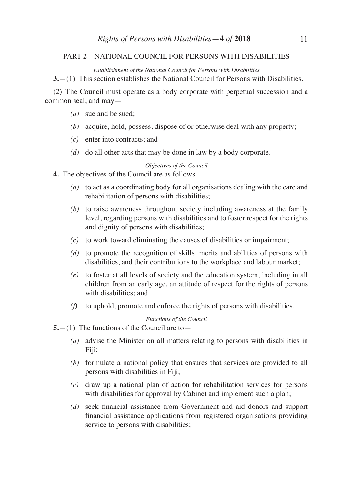# PART 2—NATIONAL COUNCIL FOR PERSONS WITH DISABILITIES

*Establishment of the National Council for Persons with Disabilities* 

**3.**—(1) This section establishes the National Council for Persons with Disabilities.

(2) The Council must operate as a body corporate with perpetual succession and a common seal, and may—

- *(a)* sue and be sued;
- *(b)* acquire, hold, possess, dispose of or otherwise deal with any property;
- *(c)* enter into contracts; and
- *(d)* do all other acts that may be done in law by a body corporate.

#### *Objectives of the Council*

- **4.** The objectives of the Council are as follows—
	- *(a)* to act as a coordinating body for all organisations dealing with the care and rehabilitation of persons with disabilities;
	- *(b)* to raise awareness throughout society including awareness at the family level, regarding persons with disabilities and to foster respect for the rights and dignity of persons with disabilities;
	- *(c)* to work toward eliminating the causes of disabilities or impairment;
	- *(d)* to promote the recognition of skills, merits and abilities of persons with disabilities, and their contributions to the workplace and labour market;
	- *(e)* to foster at all levels of society and the education system, including in all children from an early age, an attitude of respect for the rights of persons with disabilities; and
	- *(f)* to uphold, promote and enforce the rights of persons with disabilities.

#### *Functions of the Council*

- **5.**—(1) The functions of the Council are to—
	- *(a)* advise the Minister on all matters relating to persons with disabilities in Fiji;
	- *(b)* formulate a national policy that ensures that services are provided to all persons with disabilities in Fiji;
	- *(c)* draw up a national plan of action for rehabilitation services for persons with disabilities for approval by Cabinet and implement such a plan;
	- *(d)* seek financial assistance from Government and aid donors and support financial assistance applications from registered organisations providing service to persons with disabilities;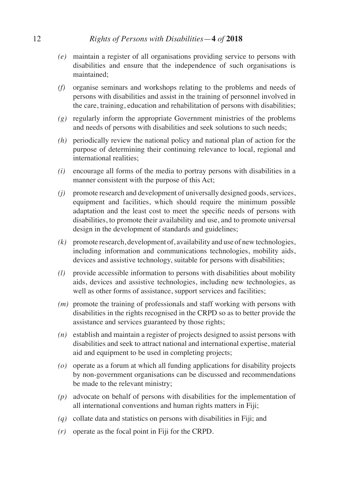- *(e)* maintain a register of all organisations providing service to persons with disabilities and ensure that the independence of such organisations is maintained;
- *(f)* organise seminars and workshops relating to the problems and needs of persons with disabilities and assist in the training of personnel involved in the care, training, education and rehabilitation of persons with disabilities;
- *(g)* regularly inform the appropriate Government ministries of the problems and needs of persons with disabilities and seek solutions to such needs;
- *(h)* periodically review the national policy and national plan of action for the purpose of determining their continuing relevance to local, regional and international realities;
- *(i)* encourage all forms of the media to portray persons with disabilities in a manner consistent with the purpose of this Act;
- *(j)* promote research and development of universally designed goods, services, equipment and facilities, which should require the minimum possible adaptation and the least cost to meet the specific needs of persons with disabilities, to promote their availability and use, and to promote universal design in the development of standards and guidelines;
- *(k)* promote research, development of, availability and use of new technologies, including information and communications technologies, mobility aids, devices and assistive technology, suitable for persons with disabilities;
- *(l)* provide accessible information to persons with disabilities about mobility aids, devices and assistive technologies, including new technologies, as well as other forms of assistance, support services and facilities;
- *(m)* promote the training of professionals and staff working with persons with disabilities in the rights recognised in the CRPD so as to better provide the assistance and services guaranteed by those rights;
- *(n)* establish and maintain a register of projects designed to assist persons with disabilities and seek to attract national and international expertise, material aid and equipment to be used in completing projects;
- *(o)* operate as a forum at which all funding applications for disability projects by non-government organisations can be discussed and recommendations be made to the relevant ministry;
- *(p)* advocate on behalf of persons with disabilities for the implementation of all international conventions and human rights matters in Fiji;
- *(q)* collate data and statistics on persons with disabilities in Fiji; and
- *(r)* operate as the focal point in Fiji for the CRPD.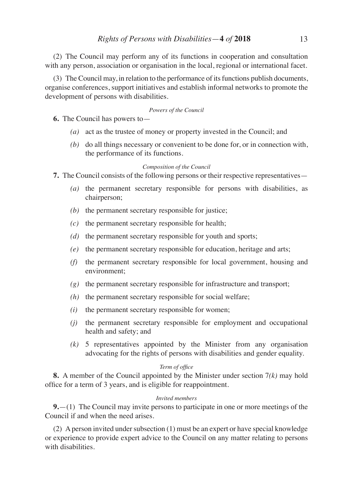(2) The Council may perform any of its functions in cooperation and consultation with any person, association or organisation in the local, regional or international facet.

(3) The Council may, in relation to the performance of its functions publish documents, organise conferences, support initiatives and establish informal networks to promote the development of persons with disabilities.

## *Powers of the Council*

- **6.** The Council has powers to—
	- *(a)* act as the trustee of money or property invested in the Council; and
	- *(b)* do all things necessary or convenient to be done for, or in connection with, the performance of its functions.

#### *Composition of the Council*

**7.** The Council consists of the following persons or their respective representatives—

- *(a)* the permanent secretary responsible for persons with disabilities, as chairperson;
- *(b)* the permanent secretary responsible for justice;
- *(c)* the permanent secretary responsible for health;
- *(d)* the permanent secretary responsible for youth and sports;
- *(e)* the permanent secretary responsible for education, heritage and arts;
- *(f)* the permanent secretary responsible for local government, housing and environment;
- *(g)* the permanent secretary responsible for infrastructure and transport;
- *(h)* the permanent secretary responsible for social welfare;
- *(i)* the permanent secretary responsible for women;
- *(j)* the permanent secretary responsible for employment and occupational health and safety; and
- *(k)* 5 representatives appointed by the Minister from any organisation advocating for the rights of persons with disabilities and gender equality.

## *Term of office*

**8.** A member of the Council appointed by the Minister under section 7*(k)* may hold office for a term of 3 years, and is eligible for reappointment.

## *Invited members*

**9.**—(1) The Council may invite persons to participate in one or more meetings of the Council if and when the need arises.

(2) A person invited under subsection (1) must be an expert or have special knowledge or experience to provide expert advice to the Council on any matter relating to persons with disabilities.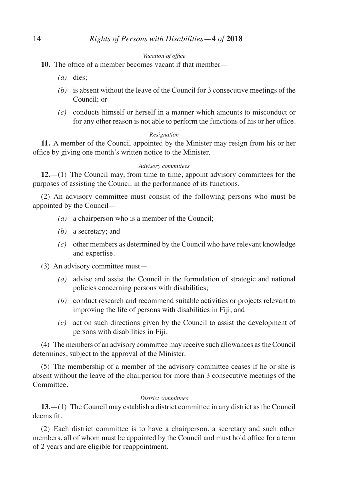## *Vacation of office*

- **10.** The office of a member becomes vacant if that member—
	- *(a)* dies;
	- *(b)* is absent without the leave of the Council for 3 consecutive meetings of the Council; or
	- *(c)* conducts himself or herself in a manner which amounts to misconduct or for any other reason is not able to perform the functions of his or her office.

## *Resignation*

**11.** A member of the Council appointed by the Minister may resign from his or her office by giving one month's written notice to the Minister.

#### *Advisory committees*

**12.**—(1) The Council may, from time to time, appoint advisory committees for the purposes of assisting the Council in the performance of its functions.

(2) An advisory committee must consist of the following persons who must be appointed by the Council—

- *(a)* a chairperson who is a member of the Council;
- *(b)* a secretary; and
- *(c)* other members as determined by the Council who have relevant knowledge and expertise.

# (3) An advisory committee must—

- *(a)* advise and assist the Council in the formulation of strategic and national policies concerning persons with disabilities;
- *(b)* conduct research and recommend suitable activities or projects relevant to improving the life of persons with disabilities in Fiji; and
- *(c)* act on such directions given by the Council to assist the development of persons with disabilities in Fiji.

(4) The members of an advisory committee may receive such allowances as the Council determines, subject to the approval of the Minister.

(5) The membership of a member of the advisory committee ceases if he or she is absent without the leave of the chairperson for more than 3 consecutive meetings of the Committee.

## *District committees*

**13.**—(1) The Council may establish a district committee in any district as the Council deems fit.

(2) Each district committee is to have a chairperson, a secretary and such other members, all of whom must be appointed by the Council and must hold office for a term of 2 years and are eligible for reappointment.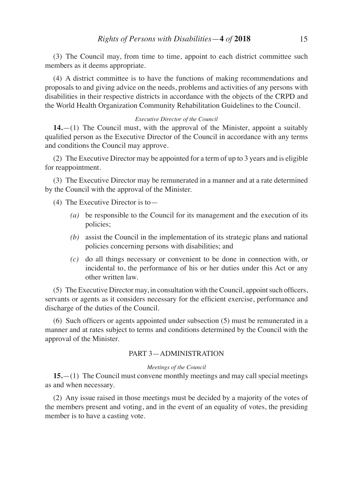(3) The Council may, from time to time, appoint to each district committee such members as it deems appropriate.

(4) A district committee is to have the functions of making recommendations and proposals to and giving advice on the needs, problems and activities of any persons with disabilities in their respective districts in accordance with the objects of the CRPD and the World Health Organization Community Rehabilitation Guidelines to the Council.

## *Executive Director of the Council*

**14.**—(1) The Council must, with the approval of the Minister, appoint a suitably qualified person as the Executive Director of the Council in accordance with any terms and conditions the Council may approve.

(2) The Executive Director may be appointed for a term of up to 3 years and is eligible for reappointment.

(3) The Executive Director may be remunerated in a manner and at a rate determined by the Council with the approval of the Minister.

(4) The Executive Director is to—

- *(a)* be responsible to the Council for its management and the execution of its policies;
- *(b)* assist the Council in the implementation of its strategic plans and national policies concerning persons with disabilities; and
- *(c)* do all things necessary or convenient to be done in connection with, or incidental to, the performance of his or her duties under this Act or any other written law.

(5) The Executive Director may, in consultation with the Council, appoint such officers, servants or agents as it considers necessary for the efficient exercise, performance and discharge of the duties of the Council.

(6) Such officers or agents appointed under subsection (5) must be remunerated in a manner and at rates subject to terms and conditions determined by the Council with the approval of the Minister.

# PART 3—ADMINISTRATION

#### *Meetings of the Council*

**15.**—(1) The Council must convene monthly meetings and may call special meetings as and when necessary.

(2) Any issue raised in those meetings must be decided by a majority of the votes of the members present and voting, and in the event of an equality of votes, the presiding member is to have a casting vote.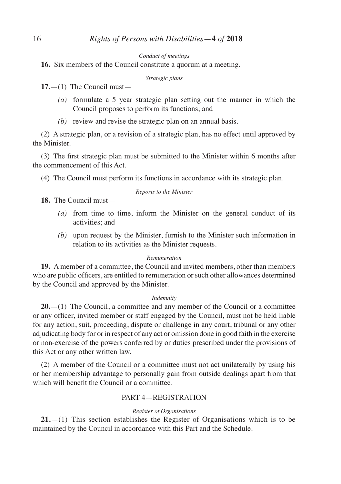#### *Conduct of meetings*

**16.** Six members of the Council constitute a quorum at a meeting.

#### *Strategic plans*

**17.**—(1) The Council must—

- *(a)* formulate a 5 year strategic plan setting out the manner in which the Council proposes to perform its functions; and
- *(b)* review and revise the strategic plan on an annual basis.

(2) A strategic plan, or a revision of a strategic plan, has no effect until approved by the Minister.

(3) The first strategic plan must be submitted to the Minister within 6 months after the commencement of this Act.

(4) The Council must perform its functions in accordance with its strategic plan.

## *Reports to the Minister*

**18.** The Council must—

- *(a)* from time to time, inform the Minister on the general conduct of its activities; and
- *(b)* upon request by the Minister, furnish to the Minister such information in relation to its activities as the Minister requests.

## *Remuneration*

**19.** A member of a committee, the Council and invited members, other than members who are public officers, are entitled to remuneration orsuch other allowances determined by the Council and approved by the Minister.

## *Indemnity*

**20.**—(1) The Council, a committee and any member of the Council or a committee or any officer, invited member or staff engaged by the Council, must not be held liable for any action, suit, proceeding, dispute or challenge in any court, tribunal or any other adjudicating body for or in respect of any act or omission done in good faith in the exercise or non-exercise of the powers conferred by or duties prescribed under the provisions of this Act or any other written law.

(2) A member of the Council or a committee must not act unilaterally by using his or her membership advantage to personally gain from outside dealings apart from that which will benefit the Council or a committee.

# PART 4—REGISTRATION

## *Register of Organisations*

**21.**—(1) This section establishes the Register of Organisations which is to be maintained by the Council in accordance with this Part and the Schedule.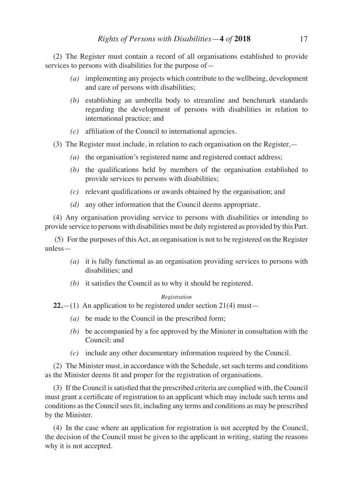(2) The Register must contain a record of all organisations established to provide services to persons with disabilities for the purpose of—

- *(a)* implementing any projects which contribute to the wellbeing, development and care of persons with disabilities;
- *(b)* establishing an umbrella body to streamline and benchmark standards regarding the development of persons with disabilities in relation to international practice; and
- *(c)* affiliation of the Council to international agencies.
- (3) The Register must include, in relation to each organisation on the Register,—
	- *(a)* the organisation's registered name and registered contact address;
	- *(b)* the qualifications held by members of the organisation established to provide services to persons with disabilities;
	- *(c)* relevant qualifications or awards obtained by the organisation; and
	- *(d)* any other information that the Council deems appropriate.

(4) Any organisation providing service to persons with disabilities or intending to provide service to persons with disabilities must be duly registered as provided by this Part.

 (5) For the purposes of this Act, an organisation is not to be registered on the Register unless—

- *(a)* it is fully functional as an organisation providing services to persons with disabilities; and
- *(b)* it satisfies the Council as to why it should be registered.

## *Registration*

**22.**—(1) An application to be registered under section 21(4) must—

- *(a)* be made to the Council in the prescribed form;
- *(b)* be accompanied by a fee approved by the Minister in consultation with the Council; and
- *(c)* include any other documentary information required by the Council.

(2) The Minister must, in accordance with the Schedule, set such terms and conditions as the Minister deems fit and proper for the registration of organisations.

(3) If the Council issatisfied that the prescribed criteria are complied with, the Council must grant a certificate of registration to an applicant which may include such terms and conditions as the Council sees fit, including any terms and conditions as may be prescribed by the Minister.

(4) In the case where an application for registration is not accepted by the Council, the decision of the Council must be given to the applicant in writing, stating the reasons why it is not accepted.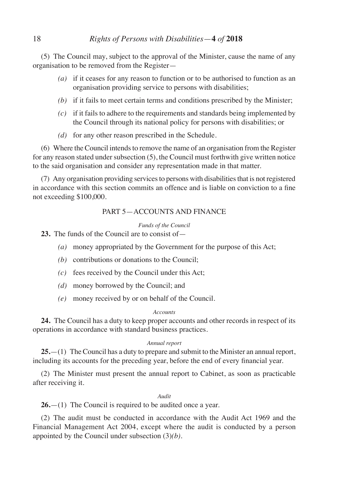(5) The Council may, subject to the approval of the Minister, cause the name of any organisation to be removed from the Register—

- *(a)* if it ceases for any reason to function or to be authorised to function as an organisation providing service to persons with disabilities;
- *(b)* if it fails to meet certain terms and conditions prescribed by the Minister;
- *(c)* if it fails to adhere to the requirements and standards being implemented by the Council through its national policy for persons with disabilities; or
- *(d)* for any other reason prescribed in the Schedule.

(6) Where the Council intends to remove the name of an organisation from the Register for any reason stated under subsection (5), the Council must forthwith give written notice to the said organisation and consider any representation made in that matter.

(7) Any organisation providing services to persons with disabilities that is not registered in accordance with this section commits an offence and is liable on conviction to a fine not exceeding \$100,000.

# PART 5—ACCOUNTS AND FINANCE

# *Funds of the Council*

**23.** The funds of the Council are to consist of—

- *(a)* money appropriated by the Government for the purpose of this Act;
- *(b)* contributions or donations to the Council;
- *(c)* fees received by the Council under this Act;
- *(d)* money borrowed by the Council; and
- *(e)* money received by or on behalf of the Council.

# *Accounts*

**24.** The Council has a duty to keep proper accounts and other records in respect of its operations in accordance with standard business practices.

# *Annual report*

**25.**—(1) The Council has a duty to prepare and submit to the Minister an annual report, including its accounts for the preceding year, before the end of every financial year.

(2) The Minister must present the annual report to Cabinet, as soon as practicable after receiving it.

# *Audit*

**26.**—(1) The Council is required to be audited once a year.

(2) The audit must be conducted in accordance with the Audit Act 1969 and the Financial Management Act 2004, except where the audit is conducted by a person appointed by the Council under subsection (3)*(b)*.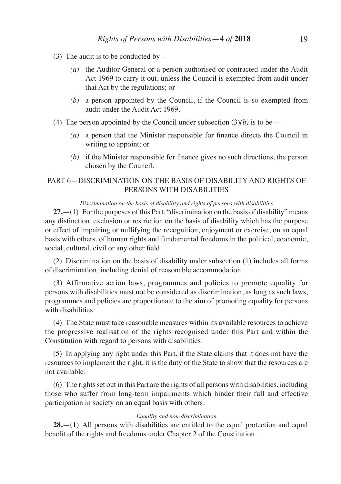- (3) The audit is to be conducted by
	- *(a)* the Auditor-General or a person authorised or contracted under the Audit Act 1969 to carry it out, unless the Council is exempted from audit under that Act by the regulations; or
	- *(b)* a person appointed by the Council, if the Council is so exempted from audit under the Audit Act 1969.
- (4) The person appointed by the Council under subsection  $(3)(b)$  is to be—
	- *(a)* a person that the Minister responsible for finance directs the Council in writing to appoint; or
	- *(b)* if the Minister responsible for finance gives no such directions, the person chosen by the Council.

# PART 6—DISCRIMINATION ON THE BASIS OF DISABILITY AND RIGHTS OF PERSONS WITH DISABILITIES

# *Discrimination on the basis of disability and rights of persons with disabilities*

**27.**—(1) For the purposes of this Part, "discrimination on the basis of disability" means any distinction, exclusion or restriction on the basis of disability which has the purpose or effect of impairing or nullifying the recognition, enjoyment or exercise, on an equal basis with others, of human rights and fundamental freedoms in the political, economic, social, cultural, civil or any other field.

(2) Discrimination on the basis of disability under subsection (1) includes all forms of discrimination, including denial of reasonable accommodation.

(3) Affirmative action laws, programmes and policies to promote equality for persons with disabilities must not be considered as discrimination, as long as such laws, programmes and policies are proportionate to the aim of promoting equality for persons with disabilities.

(4) The State must take reasonable measures within its available resources to achieve the progressive realisation of the rights recognised under this Part and within the Constitution with regard to persons with disabilities.

(5) In applying any right under this Part, if the State claims that it does not have the resources to implement the right, it is the duty of the State to show that the resources are not available.

(6) The rights set out in this Part are the rights of all persons with disabilities, including those who suffer from long-term impairments which hinder their full and effective participation in society on an equal basis with others.

#### *Equality and non-discrimination*

**28.**—(1) All persons with disabilities are entitled to the equal protection and equal benefit of the rights and freedoms under Chapter 2 of the Constitution.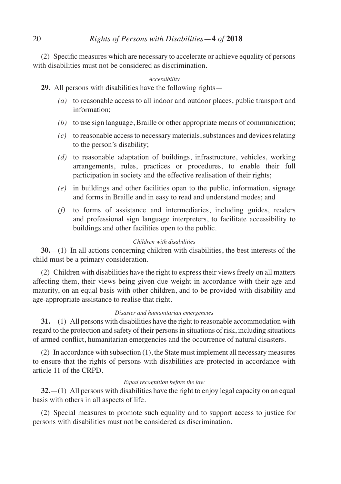(2) Specific measures which are necessary to accelerate or achieve equality of persons with disabilities must not be considered as discrimination.

# *Accessibility*

**29.** All persons with disabilities have the following rights—

- *(a)* to reasonable access to all indoor and outdoor places, public transport and information;
- *(b)* to use sign language, Braille or other appropriate means of communication;
- *(c)* to reasonable access to necessary materials, substances and devices relating to the person's disability;
- *(d)* to reasonable adaptation of buildings, infrastructure, vehicles, working arrangements, rules, practices or procedures, to enable their full participation in society and the effective realisation of their rights;
- *(e)* in buildings and other facilities open to the public, information, signage and forms in Braille and in easy to read and understand modes; and
- *(f)* to forms of assistance and intermediaries, including guides, readers and professional sign language interpreters, to facilitate accessibility to buildings and other facilities open to the public.

# *Children with disabilities*

**30.**—(1) In all actions concerning children with disabilities, the best interests of the child must be a primary consideration.

(2) Children with disabilities have the right to express their views freely on all matters affecting them, their views being given due weight in accordance with their age and maturity, on an equal basis with other children, and to be provided with disability and age-appropriate assistance to realise that right.

# *Disaster and humanitarian emergencies*

**31.**—(1) All persons with disabilities have the right to reasonable accommodation with regard to the protection and safety of their persons in situations of risk, including situations of armed conflict, humanitarian emergencies and the occurrence of natural disasters.

(2) In accordance with subsection (1), the State must implement all necessary measures to ensure that the rights of persons with disabilities are protected in accordance with article 11 of the CRPD.

## *Equal recognition before the law*

**32.**—(1) All persons with disabilities have the right to enjoy legal capacity on an equal basis with others in all aspects of life.

(2) Special measures to promote such equality and to support access to justice for persons with disabilities must not be considered as discrimination.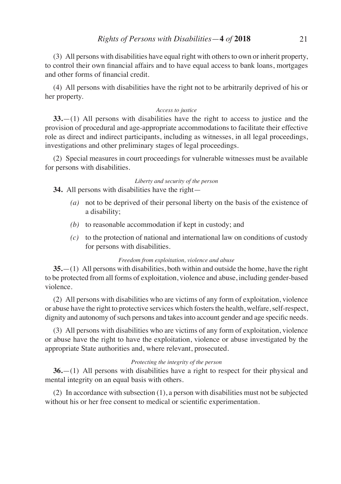(3) All persons with disabilities have equal right with others to own or inherit property, to control their own financial affairs and to have equal access to bank loans, mortgages and other forms of financial credit.

(4) All persons with disabilities have the right not to be arbitrarily deprived of his or her property.

## *Access to justice*

**33.**—(1) All persons with disabilities have the right to access to justice and the provision of procedural and age-appropriate accommodations to facilitate their effective role as direct and indirect participants, including as witnesses, in all legal proceedings, investigations and other preliminary stages of legal proceedings.

(2) Special measures in court proceedings for vulnerable witnesses must be available for persons with disabilities.

## *Liberty and security of the person*

**34.** All persons with disabilities have the right—

- *(a)* not to be deprived of their personal liberty on the basis of the existence of a disability;
- *(b)* to reasonable accommodation if kept in custody; and
- *(c)* to the protection of national and international law on conditions of custody for persons with disabilities.

## *Freedom from exploitation, violence and abuse*

**35.**—(1) All persons with disabilities, both within and outside the home, have the right to be protected from all forms of exploitation, violence and abuse, including gender-based violence.

(2) All persons with disabilities who are victims of any form of exploitation, violence or abuse have the right to protective services which fosters the health, welfare, self-respect, dignity and autonomy of such persons and takes into account gender and age specific needs.

(3) All persons with disabilities who are victims of any form of exploitation, violence or abuse have the right to have the exploitation, violence or abuse investigated by the appropriate State authorities and, where relevant, prosecuted.

# *Protecting the integrity of the person*

**36.**—(1) All persons with disabilities have a right to respect for their physical and mental integrity on an equal basis with others.

(2) In accordance with subsection (1), a person with disabilities must not be subjected without his or her free consent to medical or scientific experimentation.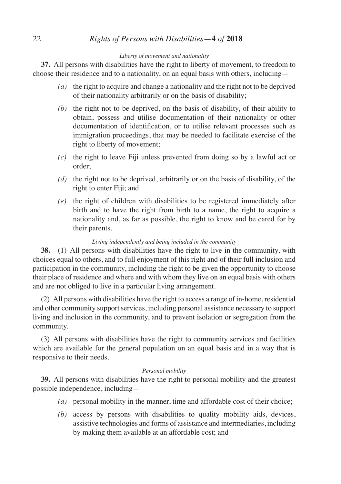# 22 *Rights of Persons with Disabilities*—**4** *of* **2018**

## *Liberty of movement and nationality*

**37.** All persons with disabilities have the right to liberty of movement, to freedom to choose their residence and to a nationality, on an equal basis with others, including—

- *(a)* the right to acquire and change a nationality and the right not to be deprived of their nationality arbitrarily or on the basis of disability;
- *(b)* the right not to be deprived, on the basis of disability, of their ability to obtain, possess and utilise documentation of their nationality or other documentation of identification, or to utilise relevant processes such as immigration proceedings, that may be needed to facilitate exercise of the right to liberty of movement;
- *(c)* the right to leave Fiji unless prevented from doing so by a lawful act or order;
- *(d)* the right not to be deprived, arbitrarily or on the basis of disability, of the right to enter Fiji; and
- *(e)* the right of children with disabilities to be registered immediately after birth and to have the right from birth to a name, the right to acquire a nationality and, as far as possible, the right to know and be cared for by their parents.

## *Living independently and being included in the community*

**38.**—(1) All persons with disabilities have the right to live in the community, with choices equal to others, and to full enjoyment of this right and of their full inclusion and participation in the community, including the right to be given the opportunity to choose their place of residence and where and with whom they live on an equal basis with others and are not obliged to live in a particular living arrangement.

(2) All persons with disabilities have the right to access a range of in-home, residential and other community support services, including personal assistance necessary to support living and inclusion in the community, and to prevent isolation or segregation from the community.

(3) All persons with disabilities have the right to community services and facilities which are available for the general population on an equal basis and in a way that is responsive to their needs.

#### *Personal mobility*

**39.** All persons with disabilities have the right to personal mobility and the greatest possible independence, including—

- *(a)* personal mobility in the manner, time and affordable cost of their choice;
- *(b)* access by persons with disabilities to quality mobility aids, devices, assistive technologies and forms of assistance and intermediaries, including by making them available at an affordable cost; and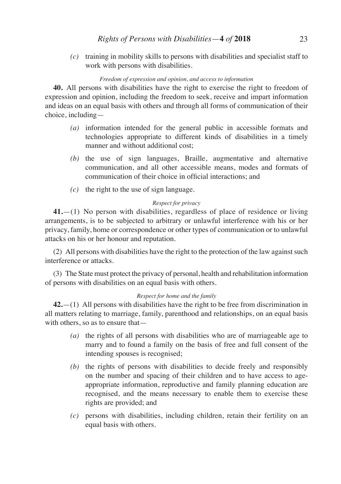*(c)* training in mobility skills to persons with disabilities and specialist staff to work with persons with disabilities.

# *Freedom of expression and opinion, and access to information*

**40.** All persons with disabilities have the right to exercise the right to freedom of expression and opinion, including the freedom to seek, receive and impart information and ideas on an equal basis with others and through all forms of communication of their choice, including—

- *(a)* information intended for the general public in accessible formats and technologies appropriate to different kinds of disabilities in a timely manner and without additional cost;
- *(b)* the use of sign languages, Braille, augmentative and alternative communication, and all other accessible means, modes and formats of communication of their choice in official interactions; and
- *(c)* the right to the use of sign language.

# *Respect for privacy*

**41.**—(1) No person with disabilities, regardless of place of residence or living arrangements, is to be subjected to arbitrary or unlawful interference with his or her privacy, family, home or correspondence or other types of communication or to unlawful attacks on his or her honour and reputation.

(2) All persons with disabilities have the right to the protection of the law against such interference or attacks.

(3) The State must protect the privacy of personal, health and rehabilitation information of persons with disabilities on an equal basis with others.

# *Respect for home and the family*

**42.**—(1) All persons with disabilities have the right to be free from discrimination in all matters relating to marriage, family, parenthood and relationships, on an equal basis with others, so as to ensure that—

- *(a)* the rights of all persons with disabilities who are of marriageable age to marry and to found a family on the basis of free and full consent of the intending spouses is recognised;
- *(b)* the rights of persons with disabilities to decide freely and responsibly on the number and spacing of their children and to have access to ageappropriate information, reproductive and family planning education are recognised, and the means necessary to enable them to exercise these rights are provided; and
- *(c)* persons with disabilities, including children, retain their fertility on an equal basis with others.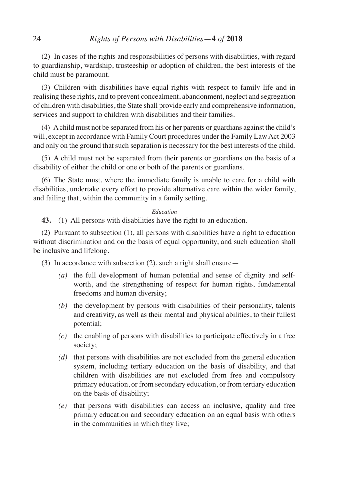(2) In cases of the rights and responsibilities of persons with disabilities, with regard to guardianship, wardship, trusteeship or adoption of children, the best interests of the child must be paramount.

(3) Children with disabilities have equal rights with respect to family life and in realising these rights, and to prevent concealment, abandonment, neglect and segregation of children with disabilities, the State shall provide early and comprehensive information, services and support to children with disabilities and their families.

(4) Achild must not be separated from his or her parents or guardians against the child's will, except in accordance with Family Court procedures under the Family Law Act 2003 and only on the ground that such separation is necessary for the best interests of the child.

(5) A child must not be separated from their parents or guardians on the basis of a disability of either the child or one or both of the parents or guardians.

(6) The State must, where the immediate family is unable to care for a child with disabilities, undertake every effort to provide alternative care within the wider family, and failing that, within the community in a family setting.

#### *Education*

**43.**—(1) All persons with disabilities have the right to an education.

(2) Pursuant to subsection (1), all persons with disabilities have a right to education without discrimination and on the basis of equal opportunity, and such education shall be inclusive and lifelong.

(3) In accordance with subsection (2), such a right shall ensure—

- *(a)* the full development of human potential and sense of dignity and selfworth, and the strengthening of respect for human rights, fundamental freedoms and human diversity;
- *(b)* the development by persons with disabilities of their personality, talents and creativity, as well as their mental and physical abilities, to their fullest potential;
- *(c)* the enabling of persons with disabilities to participate effectively in a free society;
- *(d)* that persons with disabilities are not excluded from the general education system, including tertiary education on the basis of disability, and that children with disabilities are not excluded from free and compulsory primary education, or from secondary education, or from tertiary education on the basis of disability;
- *(e)* that persons with disabilities can access an inclusive, quality and free primary education and secondary education on an equal basis with others in the communities in which they live;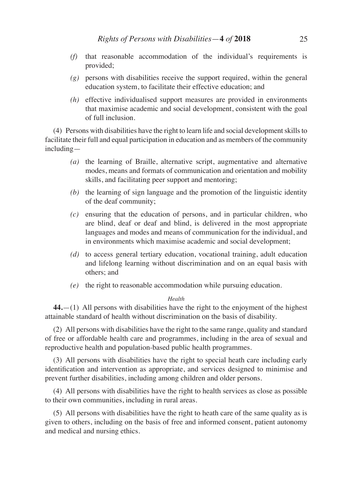- *(f)* that reasonable accommodation of the individual's requirements is provided;
- *(g)* persons with disabilities receive the support required, within the general education system, to facilitate their effective education; and
- *(h)* effective individualised support measures are provided in environments that maximise academic and social development, consistent with the goal of full inclusion.

(4) Persons with disabilities have the right to learn life and social development skills to facilitate their full and equal participation in education and as members of the community including—

- *(a)* the learning of Braille, alternative script, augmentative and alternative modes, means and formats of communication and orientation and mobility skills, and facilitating peer support and mentoring;
- *(b)* the learning of sign language and the promotion of the linguistic identity of the deaf community;
- *(c)* ensuring that the education of persons, and in particular children, who are blind, deaf or deaf and blind, is delivered in the most appropriate languages and modes and means of communication for the individual, and in environments which maximise academic and social development;
- *(d)* to access general tertiary education, vocational training, adult education and lifelong learning without discrimination and on an equal basis with others; and
- *(e)* the right to reasonable accommodation while pursuing education.

## *Health*

**44.**—(1) All persons with disabilities have the right to the enjoyment of the highest attainable standard of health without discrimination on the basis of disability.

(2) All persons with disabilities have the right to the same range, quality and standard of free or affordable health care and programmes, including in the area of sexual and reproductive health and population-based public health programmes.

(3) All persons with disabilities have the right to special heath care including early identification and intervention as appropriate, and services designed to minimise and prevent further disabilities, including among children and older persons.

(4) All persons with disabilities have the right to health services as close as possible to their own communities, including in rural areas.

(5) All persons with disabilities have the right to heath care of the same quality as is given to others, including on the basis of free and informed consent, patient autonomy and medical and nursing ethics.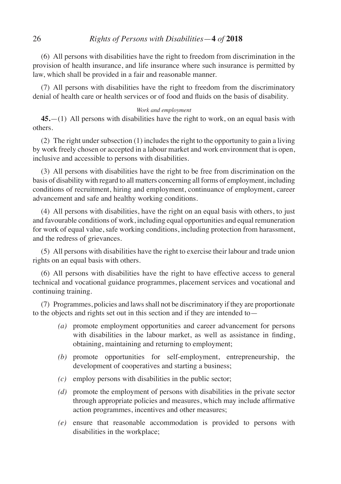(6) All persons with disabilities have the right to freedom from discrimination in the provision of health insurance, and life insurance where such insurance is permitted by law, which shall be provided in a fair and reasonable manner.

(7) All persons with disabilities have the right to freedom from the discriminatory denial of health care or health services or of food and fluids on the basis of disability.

## *Work and employment*

**45.**—(1) All persons with disabilities have the right to work, on an equal basis with others.

(2) The right under subsection (1) includes the right to the opportunity to gain a living by work freely chosen or accepted in a labour market and work environment that is open, inclusive and accessible to persons with disabilities.

(3) All persons with disabilities have the right to be free from discrimination on the basis of disability with regard to all matters concerning all forms of employment, including conditions of recruitment, hiring and employment, continuance of employment, career advancement and safe and healthy working conditions.

(4) All persons with disabilities, have the right on an equal basis with others, to just and favourable conditions of work, including equal opportunities and equal remuneration for work of equal value, safe working conditions, including protection from harassment, and the redress of grievances.

(5) All persons with disabilities have the right to exercise their labour and trade union rights on an equal basis with others.

(6) All persons with disabilities have the right to have effective access to general technical and vocational guidance programmes, placement services and vocational and continuing training.

(7) Programmes, policies and laws shall not be discriminatory if they are proportionate to the objects and rights set out in this section and if they are intended to—

- *(a)* promote employment opportunities and career advancement for persons with disabilities in the labour market, as well as assistance in finding, obtaining, maintaining and returning to employment;
- *(b)* promote opportunities for self-employment, entrepreneurship, the development of cooperatives and starting a business;
- *(c)* employ persons with disabilities in the public sector;
- *(d)* promote the employment of persons with disabilities in the private sector through appropriate policies and measures, which may include affirmative action programmes, incentives and other measures;
- *(e)* ensure that reasonable accommodation is provided to persons with disabilities in the workplace;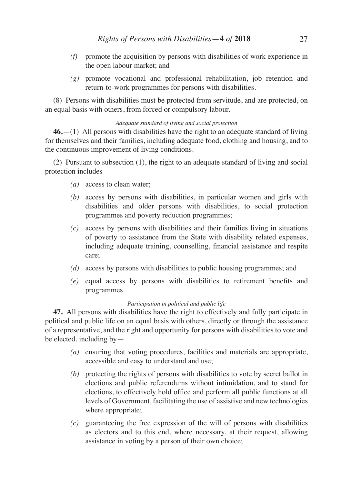- *(f)* promote the acquisition by persons with disabilities of work experience in the open labour market; and
- *(g)* promote vocational and professional rehabilitation, job retention and return-to-work programmes for persons with disabilities.

(8) Persons with disabilities must be protected from servitude, and are protected, on an equal basis with others, from forced or compulsory labour.

# *Adequate standard of living and social protection*

**46.**—(1) All persons with disabilities have the right to an adequate standard of living for themselves and their families, including adequate food, clothing and housing, and to the continuous improvement of living conditions.

(2) Pursuant to subsection (1), the right to an adequate standard of living and social protection includes—

- *(a)* access to clean water;
- *(b)* access by persons with disabilities, in particular women and girls with disabilities and older persons with disabilities, to social protection programmes and poverty reduction programmes;
- *(c)* access by persons with disabilities and their families living in situations of poverty to assistance from the State with disability related expenses, including adequate training, counselling, financial assistance and respite care;
- *(d)* access by persons with disabilities to public housing programmes; and
- *(e)* equal access by persons with disabilities to retirement benefits and programmes.

## *Participation in political and public life*

**47.** All persons with disabilities have the right to effectively and fully participate in political and public life on an equal basis with others, directly or through the assistance of a representative, and the right and opportunity for persons with disabilities to vote and be elected, including by—

- *(a)* ensuring that voting procedures, facilities and materials are appropriate, accessible and easy to understand and use;
- *(b)* protecting the rights of persons with disabilities to vote by secret ballot in elections and public referendums without intimidation, and to stand for elections, to effectively hold office and perform all public functions at all levels of Government, facilitating the use of assistive and new technologies where appropriate;
- *(c)* guaranteeing the free expression of the will of persons with disabilities as electors and to this end, where necessary, at their request, allowing assistance in voting by a person of their own choice;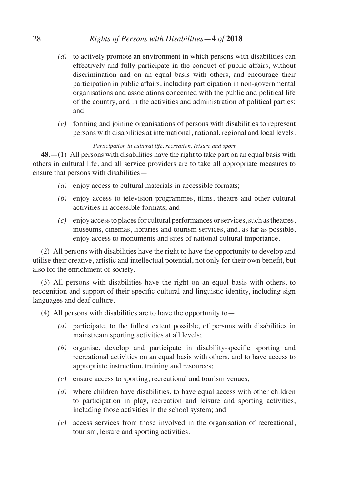# 28 *Rights of Persons with Disabilities*—**4** *of* **2018**

- *(d)* to actively promote an environment in which persons with disabilities can effectively and fully participate in the conduct of public affairs, without discrimination and on an equal basis with others, and encourage their participation in public affairs, including participation in non-governmental organisations and associations concerned with the public and political life of the country, and in the activities and administration of political parties; and
- *(e)* forming and joining organisations of persons with disabilities to represent persons with disabilities at international, national, regional and local levels.

# *Participation in cultural life, recreation, leisure and sport*

**48.**—(1) All persons with disabilities have the right to take part on an equal basis with others in cultural life, and all service providers are to take all appropriate measures to ensure that persons with disabilities—

- *(a)* enjoy access to cultural materials in accessible formats;
- *(b)* enjoy access to television programmes, films, theatre and other cultural activities in accessible formats; and
- *(c)* enjoy access to places for cultural performances or services, such as theatres, museums, cinemas, libraries and tourism services, and, as far as possible, enjoy access to monuments and sites of national cultural importance.

(2) All persons with disabilities have the right to have the opportunity to develop and utilise their creative, artistic and intellectual potential, not only for their own benefit, but also for the enrichment of society.

(3) All persons with disabilities have the right on an equal basis with others, to recognition and support of their specific cultural and linguistic identity, including sign languages and deaf culture.

- (4) All persons with disabilities are to have the opportunity to—
	- *(a)* participate, to the fullest extent possible, of persons with disabilities in mainstream sporting activities at all levels;
	- *(b)* organise, develop and participate in disability-specific sporting and recreational activities on an equal basis with others, and to have access to appropriate instruction, training and resources;
	- *(c)* ensure access to sporting, recreational and tourism venues;
	- *(d)* where children have disabilities, to have equal access with other children to participation in play, recreation and leisure and sporting activities, including those activities in the school system; and
	- *(e)* access services from those involved in the organisation of recreational, tourism, leisure and sporting activities.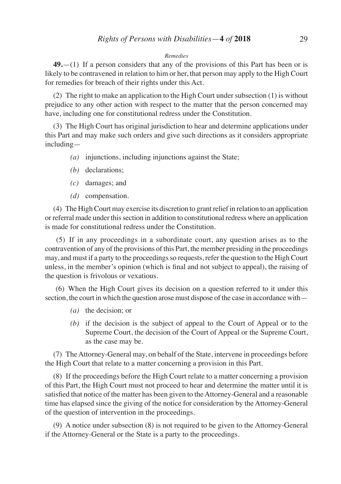#### *Remedies*

**49.**—(1) If a person considers that any of the provisions of this Part has been or is likely to be contravened in relation to him or her, that person may apply to the High Court for remedies for breach of their rights under this Act.

(2) The right to make an application to the High Court under subsection (1) is without prejudice to any other action with respect to the matter that the person concerned may have, including one for constitutional redress under the Constitution.

(3) The High Court has original jurisdiction to hear and determine applications under this Part and may make such orders and give such directions as it considers appropriate including—

- *(a)* injunctions, including injunctions against the State;
- *(b)* declarations;
- *(c)* damages; and
- *(d)* compensation.

(4) The High Court may exercise its discretion to grant relief in relation to an application or referral made under this section in addition to constitutional redress where an application is made for constitutional redress under the Constitution.

 (5) If in any proceedings in a subordinate court, any question arises as to the contravention of any of the provisions of this Part, the member presiding in the proceedings may, and must if a party to the proceedings so requests, refer the question to the High Court unless, in the member's opinion (which is final and not subject to appeal), the raising of the question is frivolous or vexatious.

 (6) When the High Court gives its decision on a question referred to it under this section, the court in which the question arose must dispose of the case in accordance with—

- *(a)* the decision; or
- *(b)* if the decision is the subject of appeal to the Court of Appeal or to the Supreme Court, the decision of the Court of Appeal or the Supreme Court, as the case may be.

(7) The Attorney-General may, on behalf of the State, intervene in proceedings before the High Court that relate to a matter concerning a provision in this Part.

(8) If the proceedings before the High Court relate to a matter concerning a provision of this Part, the High Court must not proceed to hear and determine the matter until it is satisfied that notice of the matter has been given to theAttorney-General and a reasonable time has elapsed since the giving of the notice for consideration by the Attorney-General of the question of intervention in the proceedings.

(9) A notice under subsection (8) is not required to be given to the Attorney-General if the Attorney-General or the State is a party to the proceedings.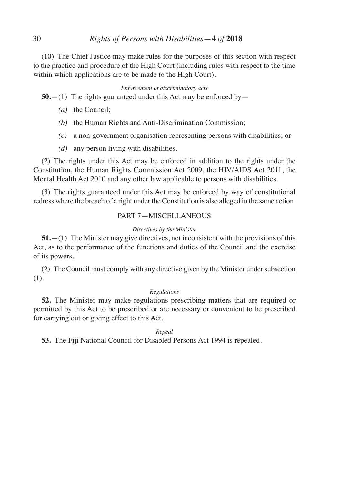# 30 *Rights of Persons with Disabilities*—**4** *of* **2018**

(10) The Chief Justice may make rules for the purposes of this section with respect to the practice and procedure of the High Court (including rules with respect to the time within which applications are to be made to the High Court).

## *Enforcement of discriminatory acts*

**50.**—(1) The rights guaranteed under this Act may be enforced by—

- *(a)* the Council;
- *(b)* the Human Rights and Anti-Discrimination Commission;
- *(c)* a non-government organisation representing persons with disabilities; or
- *(d)* any person living with disabilities.

(2) The rights under this Act may be enforced in addition to the rights under the Constitution, the Human Rights Commission Act 2009, the HIV/AIDS Act 2011, the Mental Health Act 2010 and any other law applicable to persons with disabilities.

(3) The rights guaranteed under this Act may be enforced by way of constitutional redress where the breach of a right under the Constitution is also alleged in the same action.

# PART 7—MISCELLANEOUS

## *Directives by the Minister*

**51.**—(1) The Minister may give directives, not inconsistent with the provisions of this Act, as to the performance of the functions and duties of the Council and the exercise of its powers.

(2) The Council must comply with any directive given by the Minister under subsection (1).

# *Regulations*

**52.** The Minister may make regulations prescribing matters that are required or permitted by this Act to be prescribed or are necessary or convenient to be prescribed for carrying out or giving effect to this Act.

## *Repeal*

**53.** The Fiji National Council for Disabled Persons Act 1994 is repealed.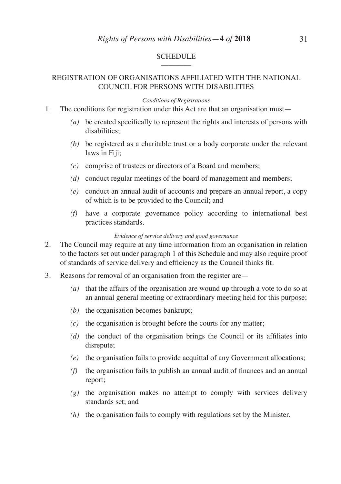#### **SCHEDULE**  $\overline{\phantom{a}}$

# REGISTRATION OF ORGANISATIONS AFFILIATED WITH THE NATIONAL COUNCIL FOR PERSONS WITH DISABILITIES

#### *Conditions of Registrations*

- 1. The conditions for registration under this Act are that an organisation must—
	- *(a)* be created specifically to represent the rights and interests of persons with disabilities;
	- *(b)* be registered as a charitable trust or a body corporate under the relevant laws in Fiji;
	- *(c)* comprise of trustees or directors of a Board and members;
	- *(d)* conduct regular meetings of the board of management and members;
	- *(e)* conduct an annual audit of accounts and prepare an annual report, a copy of which is to be provided to the Council; and
	- *(f)* have a corporate governance policy according to international best practices standards.

#### *Evidence of service delivery and good governance*

- 2. The Council may require at any time information from an organisation in relation to the factors set out under paragraph 1 of this Schedule and may also require proof of standards of service delivery and efficiency as the Council thinks fit.
- 3. Reasons for removal of an organisation from the register are—
	- *(a)* that the affairs of the organisation are wound up through a vote to do so at an annual general meeting or extraordinary meeting held for this purpose;
	- *(b)* the organisation becomes bankrupt;
	- *(c)* the organisation is brought before the courts for any matter;
	- *(d)* the conduct of the organisation brings the Council or its affiliates into disrepute;
	- *(e)* the organisation fails to provide acquittal of any Government allocations;
	- *(f)* the organisation fails to publish an annual audit of finances and an annual report;
	- *(g)* the organisation makes no attempt to comply with services delivery standards set; and
	- *(h)* the organisation fails to comply with regulations set by the Minister.